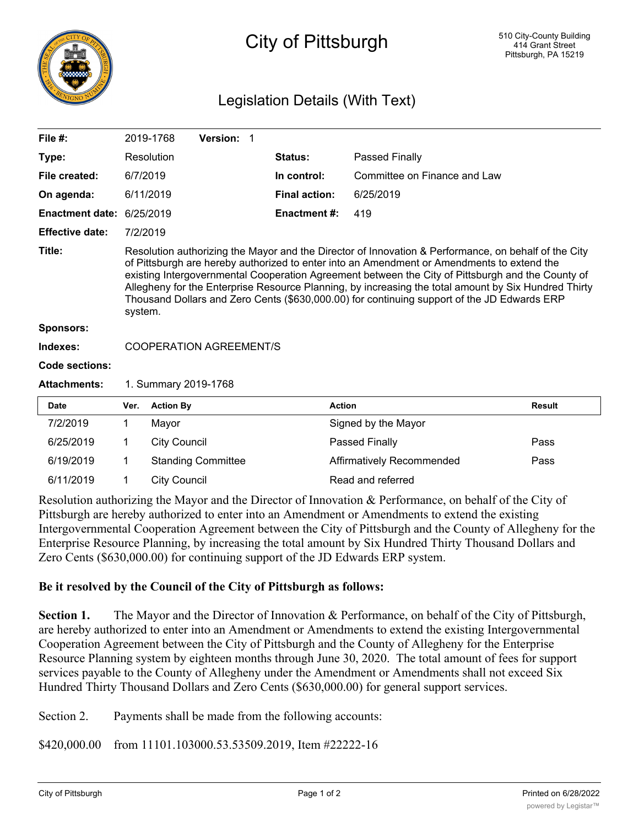

## City of Pittsburgh

## Legislation Details (With Text)

| File $#$ :                |                                                                                                                                                                                                                                                                                                                                                                                                                                                                                                                           | 2019-1768           | Version: 1                |                      |                                  |               |
|---------------------------|---------------------------------------------------------------------------------------------------------------------------------------------------------------------------------------------------------------------------------------------------------------------------------------------------------------------------------------------------------------------------------------------------------------------------------------------------------------------------------------------------------------------------|---------------------|---------------------------|----------------------|----------------------------------|---------------|
| Type:                     |                                                                                                                                                                                                                                                                                                                                                                                                                                                                                                                           | Resolution          |                           | <b>Status:</b>       | Passed Finally                   |               |
| File created:             | 6/7/2019                                                                                                                                                                                                                                                                                                                                                                                                                                                                                                                  |                     |                           | In control:          | Committee on Finance and Law     |               |
| On agenda:                | 6/11/2019                                                                                                                                                                                                                                                                                                                                                                                                                                                                                                                 |                     |                           | <b>Final action:</b> | 6/25/2019                        |               |
| Enactment date: 6/25/2019 |                                                                                                                                                                                                                                                                                                                                                                                                                                                                                                                           |                     |                           | <b>Enactment #:</b>  | 419                              |               |
| <b>Effective date:</b>    | 7/2/2019                                                                                                                                                                                                                                                                                                                                                                                                                                                                                                                  |                     |                           |                      |                                  |               |
| Title:                    | Resolution authorizing the Mayor and the Director of Innovation & Performance, on behalf of the City<br>of Pittsburgh are hereby authorized to enter into an Amendment or Amendments to extend the<br>existing Intergovernmental Cooperation Agreement between the City of Pittsburgh and the County of<br>Allegheny for the Enterprise Resource Planning, by increasing the total amount by Six Hundred Thirty<br>Thousand Dollars and Zero Cents (\$630,000.00) for continuing support of the JD Edwards ERP<br>system. |                     |                           |                      |                                  |               |
| Sponsors:                 |                                                                                                                                                                                                                                                                                                                                                                                                                                                                                                                           |                     |                           |                      |                                  |               |
| Indexes:                  | <b>COOPERATION AGREEMENT/S</b>                                                                                                                                                                                                                                                                                                                                                                                                                                                                                            |                     |                           |                      |                                  |               |
| Code sections:            |                                                                                                                                                                                                                                                                                                                                                                                                                                                                                                                           |                     |                           |                      |                                  |               |
| <b>Attachments:</b>       | 1. Summary 2019-1768                                                                                                                                                                                                                                                                                                                                                                                                                                                                                                      |                     |                           |                      |                                  |               |
| <b>Date</b>               | Ver.                                                                                                                                                                                                                                                                                                                                                                                                                                                                                                                      | <b>Action By</b>    |                           |                      | <b>Action</b>                    | <b>Result</b> |
| 7/2/2019                  | 1                                                                                                                                                                                                                                                                                                                                                                                                                                                                                                                         | Mayor               |                           |                      | Signed by the Mayor              |               |
| 6/25/2019                 | 1                                                                                                                                                                                                                                                                                                                                                                                                                                                                                                                         | <b>City Council</b> |                           |                      | Passed Finally                   | Pass          |
| 6/19/2019                 | 1                                                                                                                                                                                                                                                                                                                                                                                                                                                                                                                         |                     | <b>Standing Committee</b> |                      | <b>Affirmatively Recommended</b> | Pass          |
| 6/11/2019                 | 1                                                                                                                                                                                                                                                                                                                                                                                                                                                                                                                         | <b>City Council</b> |                           |                      | Read and referred                |               |

Resolution authorizing the Mayor and the Director of Innovation & Performance, on behalf of the City of Pittsburgh are hereby authorized to enter into an Amendment or Amendments to extend the existing Intergovernmental Cooperation Agreement between the City of Pittsburgh and the County of Allegheny for the Enterprise Resource Planning, by increasing the total amount by Six Hundred Thirty Thousand Dollars and Zero Cents (\$630,000.00) for continuing support of the JD Edwards ERP system.

## **Be it resolved by the Council of the City of Pittsburgh as follows:**

**Section 1.** The Mayor and the Director of Innovation & Performance, on behalf of the City of Pittsburgh, are hereby authorized to enter into an Amendment or Amendments to extend the existing Intergovernmental Cooperation Agreement between the City of Pittsburgh and the County of Allegheny for the Enterprise Resource Planning system by eighteen months through June 30, 2020. The total amount of fees for support services payable to the County of Allegheny under the Amendment or Amendments shall not exceed Six Hundred Thirty Thousand Dollars and Zero Cents (\$630,000.00) for general support services.

Section 2. Payments shall be made from the following accounts:

\$420,000.00 from 11101.103000.53.53509.2019, Item #22222-16